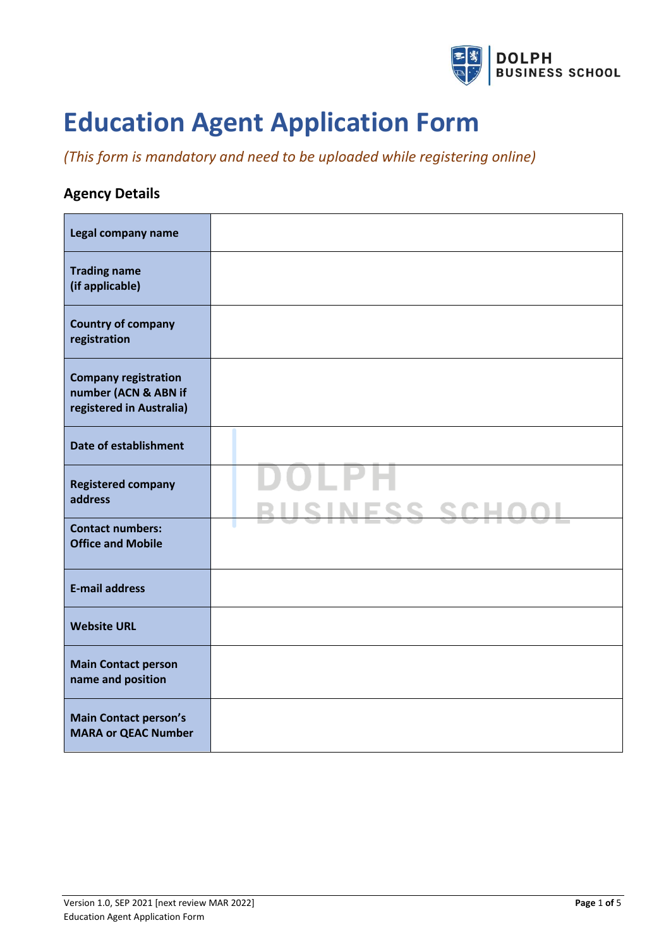

# **Education Agent Application Form**

## *(This form is mandatory and need to be uploaded while registering online)*

### **Agency Details**

| Legal company name                                                              |                               |
|---------------------------------------------------------------------------------|-------------------------------|
| <b>Trading name</b><br>(if applicable)                                          |                               |
| <b>Country of company</b><br>registration                                       |                               |
| <b>Company registration</b><br>number (ACN & ABN if<br>registered in Australia) |                               |
| <b>Date of establishment</b>                                                    |                               |
| <b>Registered company</b><br>address                                            | LPH<br><u>BUSINESS SCHOOL</u> |
| <b>Contact numbers:</b><br><b>Office and Mobile</b>                             |                               |
| <b>E-mail address</b>                                                           |                               |
| <b>Website URL</b>                                                              |                               |
| <b>Main Contact person</b><br>name and position                                 |                               |
| <b>Main Contact person's</b><br><b>MARA or QEAC Number</b>                      |                               |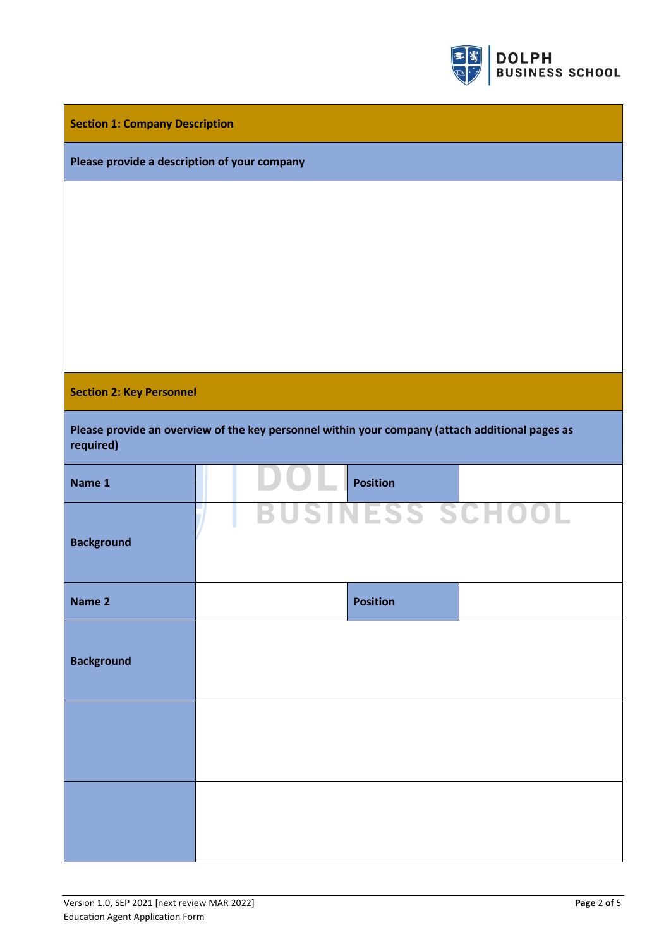

|  |  |  | <b>Section 1: Company Description</b> |
|--|--|--|---------------------------------------|
|--|--|--|---------------------------------------|

#### **Please provide a description of your company**

#### **Section 2: Key Personnel**

| Please provide an overview of the key personnel within your company (attach additional pages as |  |
|-------------------------------------------------------------------------------------------------|--|
| required)                                                                                       |  |

| Name 1            | $\bigcup$ $\bigcup$ Position |  |
|-------------------|------------------------------|--|
| <b>Background</b> | <b>BUSINESS SCHOOL</b>       |  |
| Name 2            | <b>Position</b>              |  |
| <b>Background</b> |                              |  |
|                   |                              |  |
|                   |                              |  |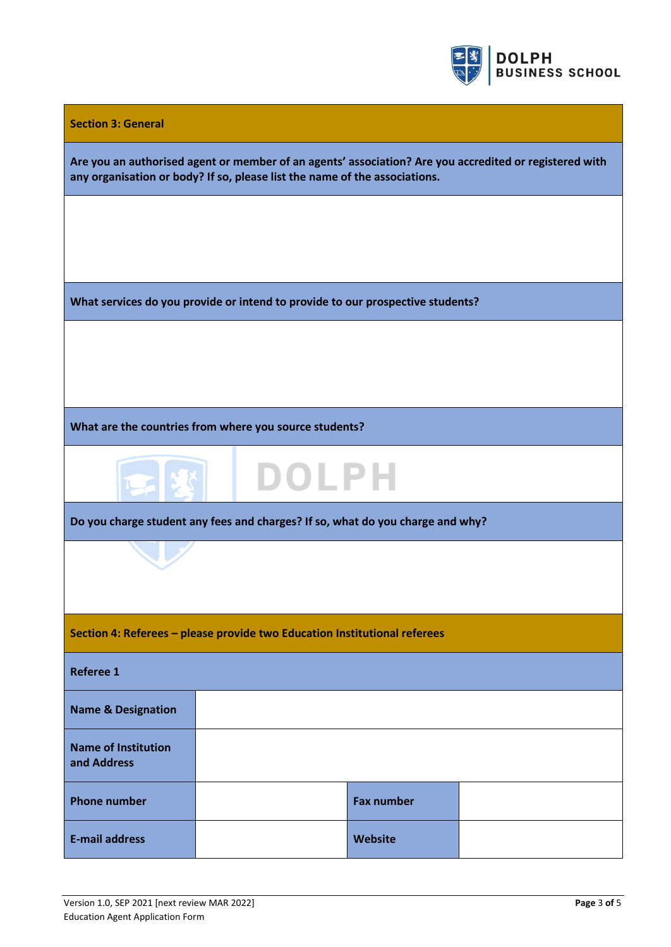

| <b>Section 3: General</b>                 |                                                                                                                                                                                      |                   |  |  |  |
|-------------------------------------------|--------------------------------------------------------------------------------------------------------------------------------------------------------------------------------------|-------------------|--|--|--|
|                                           | Are you an authorised agent or member of an agents' association? Are you accredited or registered with<br>any organisation or body? If so, please list the name of the associations. |                   |  |  |  |
|                                           |                                                                                                                                                                                      |                   |  |  |  |
|                                           |                                                                                                                                                                                      |                   |  |  |  |
|                                           | What services do you provide or intend to provide to our prospective students?                                                                                                       |                   |  |  |  |
|                                           |                                                                                                                                                                                      |                   |  |  |  |
|                                           |                                                                                                                                                                                      |                   |  |  |  |
|                                           | What are the countries from where you source students?                                                                                                                               |                   |  |  |  |
|                                           | <b>DOLPH</b>                                                                                                                                                                         |                   |  |  |  |
|                                           | Do you charge student any fees and charges? If so, what do you charge and why?                                                                                                       |                   |  |  |  |
|                                           |                                                                                                                                                                                      |                   |  |  |  |
|                                           |                                                                                                                                                                                      |                   |  |  |  |
|                                           | Section 4: Referees - please provide two Education Institutional referees                                                                                                            |                   |  |  |  |
| <b>Referee 1</b>                          |                                                                                                                                                                                      |                   |  |  |  |
| <b>Name &amp; Designation</b>             |                                                                                                                                                                                      |                   |  |  |  |
| <b>Name of Institution</b><br>and Address |                                                                                                                                                                                      |                   |  |  |  |
| <b>Phone number</b>                       |                                                                                                                                                                                      | <b>Fax number</b> |  |  |  |
| <b>E-mail address</b>                     |                                                                                                                                                                                      | Website           |  |  |  |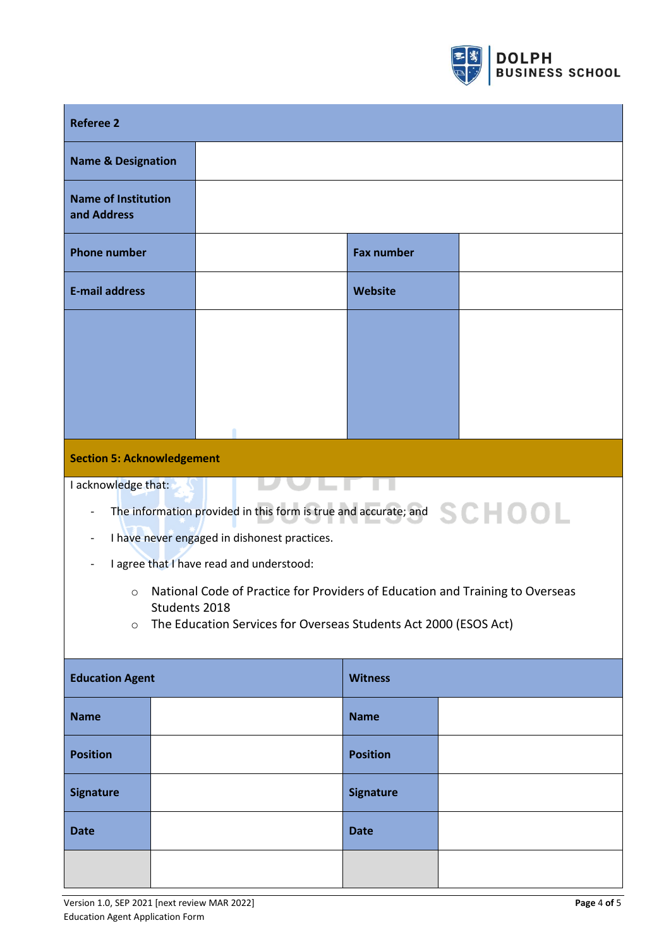

| <b>Referee 2</b>                                                            |                                                                                                                            |                   |  |  |
|-----------------------------------------------------------------------------|----------------------------------------------------------------------------------------------------------------------------|-------------------|--|--|
| <b>Name &amp; Designation</b>                                               |                                                                                                                            |                   |  |  |
| <b>Name of Institution</b><br>and Address                                   |                                                                                                                            |                   |  |  |
| <b>Phone number</b>                                                         |                                                                                                                            | <b>Fax number</b> |  |  |
| <b>E-mail address</b>                                                       |                                                                                                                            | Website           |  |  |
|                                                                             |                                                                                                                            |                   |  |  |
|                                                                             |                                                                                                                            |                   |  |  |
|                                                                             |                                                                                                                            |                   |  |  |
| <b>Section 5: Acknowledgement</b>                                           |                                                                                                                            |                   |  |  |
|                                                                             |                                                                                                                            |                   |  |  |
| I acknowledge that:                                                         |                                                                                                                            |                   |  |  |
|                                                                             | The information provided in this form is true and accurate; and $SC = 001$<br>I have never engaged in dishonest practices. |                   |  |  |
|                                                                             | I agree that I have read and understood:                                                                                   |                   |  |  |
| $\circ$                                                                     | National Code of Practice for Providers of Education and Training to Overseas                                              |                   |  |  |
|                                                                             | Students 2018                                                                                                              |                   |  |  |
| The Education Services for Overseas Students Act 2000 (ESOS Act)<br>$\circ$ |                                                                                                                            |                   |  |  |
| <b>Education Agent</b><br><b>Witness</b>                                    |                                                                                                                            |                   |  |  |
| <b>Name</b>                                                                 |                                                                                                                            | <b>Name</b>       |  |  |
|                                                                             |                                                                                                                            |                   |  |  |
| <b>Position</b>                                                             |                                                                                                                            | <b>Position</b>   |  |  |
| <b>Signature</b>                                                            |                                                                                                                            | <b>Signature</b>  |  |  |
| <b>Date</b>                                                                 |                                                                                                                            | <b>Date</b>       |  |  |
|                                                                             |                                                                                                                            |                   |  |  |